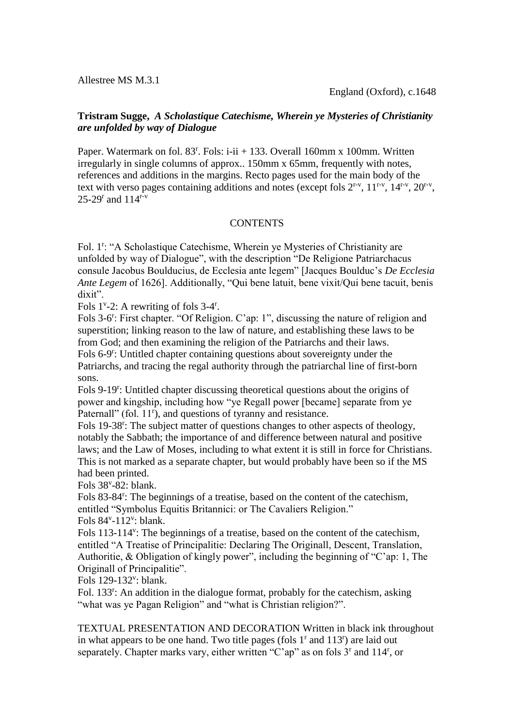Allestree MS M.3.1

## **Tristram Sugge,** *A Scholastique Catechisme, Wherein ye Mysteries of Christianity are unfolded by way of Dialogue*

Paper. Watermark on fol.  $83^r$ . Fols: i-ii + 133. Overall 160mm x 100mm. Written irregularly in single columns of approx.. 150mm x 65mm, frequently with notes, references and additions in the margins. Recto pages used for the main body of the text with verso pages containing additions and notes (except fols  $2^{r-v}$ ,  $11^{r-v}$ ,  $14^{r-v}$ ,  $20^{r-v}$ ,  $25 - 29^r$  and  $114^{r-v}$ 

## **CONTENTS**

Fol. 1<sup>r</sup>: "A Scholastique Catechisme, Wherein ye Mysteries of Christianity are unfolded by way of Dialogue", with the description "De Religione Patriarchacus consule Jacobus Boulducius, de Ecclesia ante legem" [Jacques Boulduc's *De Ecclesia Ante Legem* of 1626]. Additionally, "Qui bene latuit, bene vixit/Qui bene tacuit, benis dixit".

Fols  $1^{\nu}$ -2: A rewriting of fols 3-4<sup>r</sup>.

Fols 3-6<sup>r</sup>: First chapter. "Of Religion. C'ap: 1", discussing the nature of religion and superstition; linking reason to the law of nature, and establishing these laws to be from God; and then examining the religion of the Patriarchs and their laws.

Fols 6-9<sup>r</sup>: Untitled chapter containing questions about sovereignty under the Patriarchs, and tracing the regal authority through the patriarchal line of first-born sons.

Fols 9-19<sup>r</sup>: Untitled chapter discussing theoretical questions about the origins of power and kingship, including how "ye Regall power [became] separate from ye Paternall" (fol. 11<sup>r</sup>), and questions of tyranny and resistance.

Fols 19-38<sup>r</sup>: The subject matter of questions changes to other aspects of theology, notably the Sabbath; the importance of and difference between natural and positive laws; and the Law of Moses, including to what extent it is still in force for Christians. This is not marked as a separate chapter, but would probably have been so if the MS had been printed.

Fols  $38^{\circ}$ -82: blank.

Fols 83-84<sup>r</sup>: The beginnings of a treatise, based on the content of the catechism, entitled "Symbolus Equitis Britannici: or The Cavaliers Religion."

Fols  $84^{\nu}$ -112<sup> $\nu$ </sup>: blank.

Fols 113-114<sup>v</sup>: The beginnings of a treatise, based on the content of the catechism, entitled "A Treatise of Principalitie: Declaring The Originall, Descent, Translation, Authoritie, & Obligation of kingly power", including the beginning of "C'ap: 1, The Originall of Principalitie".

Fols 129-132<sup>v</sup>: blank.

Fol. 133<sup>T</sup>: An addition in the dialogue format, probably for the catechism, asking "what was ye Pagan Religion" and "what is Christian religion?".

TEXTUAL PRESENTATION AND DECORATION Written in black ink throughout in what appears to be one hand. Two title pages (fols  $1<sup>r</sup>$  and  $113<sup>r</sup>$ ) are laid out separately. Chapter marks vary, either written "C'ap" as on fols 3<sup>r</sup> and 114<sup>r</sup>, or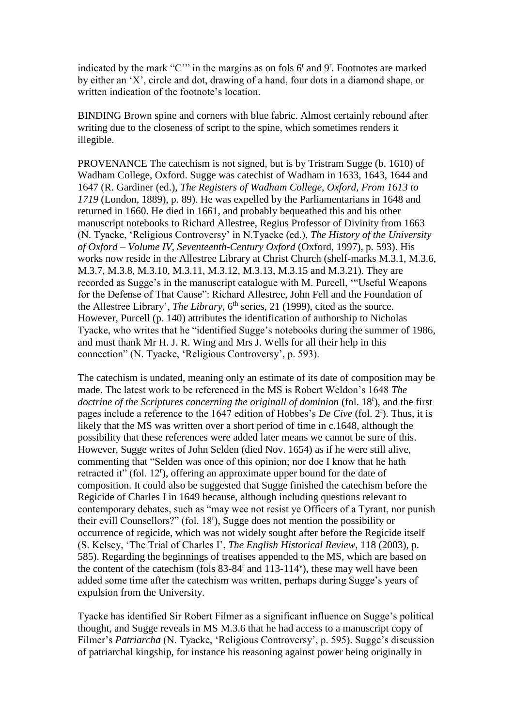indicated by the mark "C"" in the margins as on fols 6<sup>r</sup> and 9<sup>r</sup>. Footnotes are marked by either an 'X', circle and dot, drawing of a hand, four dots in a diamond shape, or written indication of the footnote's location.

BINDING Brown spine and corners with blue fabric. Almost certainly rebound after writing due to the closeness of script to the spine, which sometimes renders it illegible.

PROVENANCE The catechism is not signed, but is by Tristram Sugge (b. 1610) of Wadham College, Oxford. Sugge was catechist of Wadham in 1633, 1643, 1644 and 1647 (R. Gardiner (ed.), *The Registers of Wadham College, Oxford, From 1613 to 1719* (London, 1889), p. 89). He was expelled by the Parliamentarians in 1648 and returned in 1660. He died in 1661, and probably bequeathed this and his other manuscript notebooks to Richard Allestree, Regius Professor of Divinity from 1663 (N. Tyacke, 'Religious Controversy' in N.Tyacke (ed.), *The History of the University of Oxford – Volume IV, Seventeenth-Century Oxford* (Oxford, 1997), p. 593). His works now reside in the Allestree Library at Christ Church (shelf-marks M.3.1, M.3.6, M.3.7, M.3.8, M.3.10, M.3.11, M.3.12, M.3.13, M.3.15 and M.3.21). They are recorded as Sugge's in the manuscript catalogue with M. Purcell, '"Useful Weapons for the Defense of That Cause": Richard Allestree, John Fell and the Foundation of the Allestree Library', *The Library*, 6<sup>th</sup> series, 21 (1999), cited as the source. However, Purcell (p. 140) attributes the identification of authorship to Nicholas Tyacke, who writes that he "identified Sugge's notebooks during the summer of 1986, and must thank Mr H. J. R. Wing and Mrs J. Wells for all their help in this connection" (N. Tyacke, 'Religious Controversy', p. 593).

The catechism is undated, meaning only an estimate of its date of composition may be made. The latest work to be referenced in the MS is Robert Weldon's 1648 *The*  doctrine of the Scriptures concerning the originall of dominion (fol. 18<sup>r</sup>), and the first pages include a reference to the 1647 edition of Hobbes's *De Cive* (fol. 2<sup>r</sup>). Thus, it is likely that the MS was written over a short period of time in c.1648, although the possibility that these references were added later means we cannot be sure of this. However, Sugge writes of John Selden (died Nov. 1654) as if he were still alive, commenting that "Selden was once of this opinion; nor doe I know that he hath retracted it" (fol. 12<sup>r</sup>), offering an approximate upper bound for the date of composition. It could also be suggested that Sugge finished the catechism before the Regicide of Charles I in 1649 because, although including questions relevant to contemporary debates, such as "may wee not resist ye Officers of a Tyrant, nor punish their evill Counsellors?" (fol. 18<sup>r</sup> ), Sugge does not mention the possibility or occurrence of regicide, which was not widely sought after before the Regicide itself (S. Kelsey, 'The Trial of Charles I', *The English Historical Review*, 118 (2003), p. 585). Regarding the beginnings of treatises appended to the MS, which are based on the content of the catechism (fols 83-84<sup>r</sup> and 113-114<sup>v</sup> ), these may well have been added some time after the catechism was written, perhaps during Sugge's years of expulsion from the University.

Tyacke has identified Sir Robert Filmer as a significant influence on Sugge's political thought, and Sugge reveals in MS M.3.6 that he had access to a manuscript copy of Filmer's *Patriarcha* (N. Tyacke, 'Religious Controversy', p. 595). Sugge's discussion of patriarchal kingship, for instance his reasoning against power being originally in